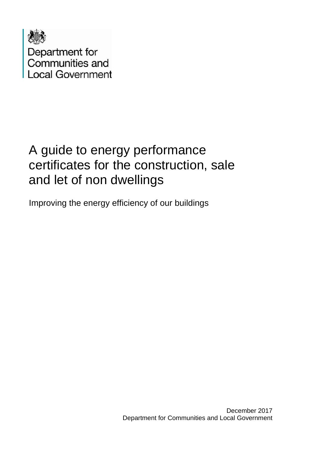

# A guide to energy performance certificates for the construction, sale and let of non dwellings

Improving the energy efficiency of our buildings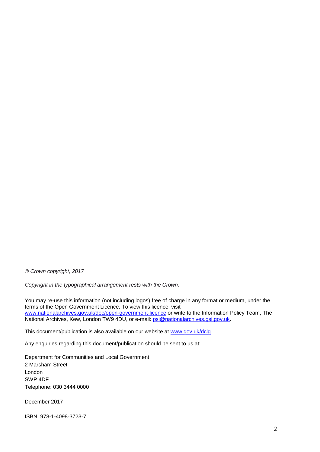*© Crown copyright, 2017*

*Copyright in the typographical arrangement rests with the Crown.*

You may re-use this information (not including logos) free of charge in any format or medium, under the terms of the Open Government Licence. To view this licence, visit [www.nationalarchives.gov.uk/doc/open-government-licence](http://www.nationalarchives.gov.uk/doc/open-government-licence/) or write to the Information Policy Team, The National Archives, Kew, London TW9 4DU, or e-mail: [psi@nationalarchives.gsi.gov.uk.](mailto:psi@nationalarchives.gsi.gov.uk)

This document/publication is also available on our website at [www.gov.uk/dclg](http://www.gov.uk/dclg)

Any enquiries regarding this document/publication should be sent to us at:

Department for Communities and Local Government 2 Marsham Street London SWP 4DF Telephone: 030 3444 0000

December 2017

ISBN: 978-1-4098-3723-7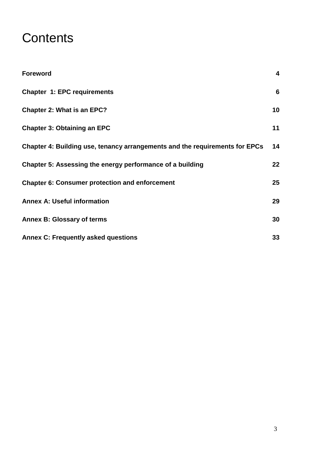# **Contents**

| <b>Foreword</b>                                                             | $\overline{\mathbf{4}}$ |
|-----------------------------------------------------------------------------|-------------------------|
| <b>Chapter 1: EPC requirements</b>                                          | 6                       |
| <b>Chapter 2: What is an EPC?</b>                                           | 10                      |
| <b>Chapter 3: Obtaining an EPC</b>                                          | 11                      |
| Chapter 4: Building use, tenancy arrangements and the requirements for EPCs | 14                      |
| Chapter 5: Assessing the energy performance of a building                   | $22 \,$                 |
| <b>Chapter 6: Consumer protection and enforcement</b>                       | 25                      |
| <b>Annex A: Useful information</b>                                          | 29                      |
| <b>Annex B: Glossary of terms</b>                                           | 30                      |
| <b>Annex C: Frequently asked questions</b>                                  | 33                      |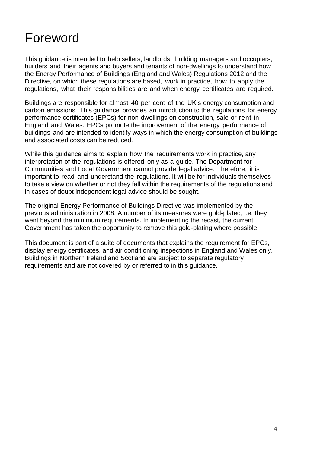# <span id="page-3-0"></span>Foreword

This guidance is intended to help sellers, landlords, building managers and occupiers, builders and their agents and buyers and tenants of non-dwellings to understand how the Energy Performance of Buildings (England and Wales) Regulations 2012 and the Directive, on which these regulations are based, work in practice, how to apply the regulations, what their responsibilities are and when energy certificates are required.

Buildings are responsible for almost 40 per cent of the UK's energy consumption and carbon emissions. This guidance provides an introduction to the regulations for energy performance certificates (EPCs) for non-dwellings on construction, sale or rent in England and Wales. EPCs promote the improvement of the energy performance of buildings and are intended to identify ways in which the energy consumption of buildings and associated costs can be reduced.

While this guidance aims to explain how the requirements work in practice, any interpretation of the regulations is offered only as a guide. The Department for Communities and Local Government cannot provide legal advice. Therefore, it is important to read and understand the regulations. It will be for individuals themselves to take a view on whether or not they fall within the requirements of the regulations and in cases of doubt independent legal advice should be sought.

The original Energy Performance of Buildings Directive was implemented by the previous administration in 2008. A number of its measures were gold-plated, i.e. they went beyond the minimum requirements. In implementing the recast, the current Government has taken the opportunity to remove this gold-plating where possible.

This document is part of a suite of documents that explains the requirement for EPCs, display energy certificates, and air conditioning inspections in England and Wales only. Buildings in Northern Ireland and Scotland are subject to separate regulatory requirements and are not covered by or referred to in this guidance.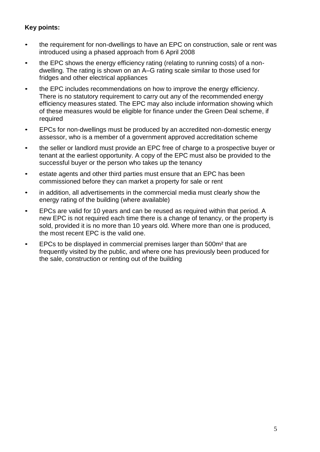#### **Key points:**

- the requirement for non-dwellings to have an EPC on construction, sale or rent was introduced using a phased approach from 6 April 2008
- the EPC shows the energy efficiency rating (relating to running costs) of a nondwelling. The rating is shown on an A–G rating scale similar to those used for fridges and other electrical appliances
- the EPC includes recommendations on how to improve the energy efficiency. There is no statutory requirement to carry out any of the recommended energy efficiency measures stated. The EPC may also include information showing which of these measures would be eligible for finance under the Green Deal scheme, if required
- EPCs for non-dwellings must be produced by an accredited non-domestic energy assessor, who is a member of a government approved accreditation scheme
- the seller or landlord must provide an EPC free of charge to a prospective buyer or tenant at the earliest opportunity. A copy of the EPC must also be provided to the successful buyer or the person who takes up the tenancy
- estate agents and other third parties must ensure that an EPC has been commissioned before they can market a property for sale or rent
- in addition, all advertisements in the commercial media must clearly show the energy rating of the building (where available)
- EPCs are valid for 10 years and can be reused as required within that period. A new EPC is not required each time there is a change of tenancy, or the property is sold, provided it is no more than 10 years old. Where more than one is produced, the most recent EPC is the valid one.
- EPCs to be displayed in commercial premises larger than 500m² that are frequently visited by the public, and where one has previously been produced for the sale, construction or renting out of the building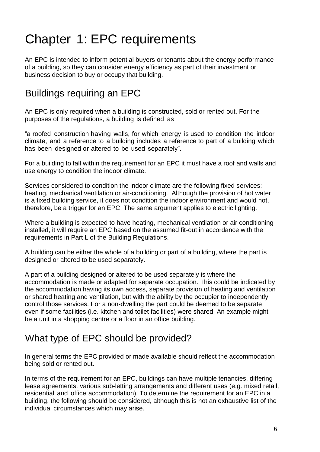# <span id="page-5-0"></span>Chapter 1: EPC requirements

An EPC is intended to inform potential buyers or tenants about the energy performance of a building, so they can consider energy efficiency as part of their investment or business decision to buy or occupy that building.

### Buildings requiring an EPC

An EPC is only required when a building is constructed, sold or rented out. For the purposes of the regulations, a building is defined as

"a roofed construction having walls, for which energy is used to condition the indoor climate, and a reference to a building includes a reference to part of a building which has been designed or altered to be used separately".

For a building to fall within the requirement for an EPC it must have a roof and walls and use energy to condition the indoor climate.

Services considered to condition the indoor climate are the following fixed services: heating, mechanical ventilation or air-conditioning. Although the provision of hot water is a fixed building service, it does not condition the indoor environment and would not, therefore, be a trigger for an EPC. The same argument applies to electric lighting.

Where a building is expected to have heating, mechanical ventilation or air conditioning installed, it will require an EPC based on the assumed fit-out in accordance with the requirements in Part L of the Building Regulations.

A building can be either the whole of a building or part of a building, where the part is designed or altered to be used separately.

A part of a building designed or altered to be used separately is where the accommodation is made or adapted for separate occupation. This could be indicated by the accommodation having its own access, separate provision of heating and ventilation or shared heating and ventilation, but with the ability by the occupier to independently control those services. For a non-dwelling the part could be deemed to be separate even if some facilities (i.e. kitchen and toilet facilities) were shared. An example might be a unit in a shopping centre or a floor in an office building.

## What type of EPC should be provided?

In general terms the EPC provided or made available should reflect the accommodation being sold or rented out.

In terms of the requirement for an EPC, buildings can have multiple tenancies, differing lease agreements, various sub-letting arrangements and different uses (e.g. mixed retail, residential and office accommodation). To determine the requirement for an EPC in a building, the following should be considered, although this is not an exhaustive list of the individual circumstances which may arise.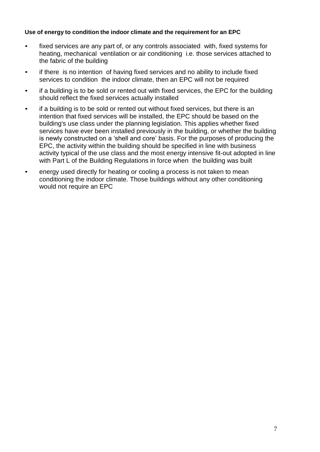#### **Use of energy to condition the indoor climate and the requirement for an EPC**

- fixed services are any part of, or any controls associated with, fixed systems for heating, mechanical ventilation or air conditioning i.e. those services attached to the fabric of the building
- if there is no intention of having fixed services and no ability to include fixed services to condition the indoor climate, then an EPC will not be required
- if a building is to be sold or rented out with fixed services, the EPC for the building should reflect the fixed services actually installed
- if a building is to be sold or rented out without fixed services, but there is an intention that fixed services will be installed, the EPC should be based on the building's use class under the planning legislation. This applies whether fixed services have ever been installed previously in the building, or whether the building is newly constructed on a 'shell and core' basis. For the purposes of producing the EPC, the activity within the building should be specified in line with business activity typical of the use class and the most energy intensive fit-out adopted in line with Part L of the Building Regulations in force when the building was built
- energy used directly for heating or cooling a process is not taken to mean conditioning the indoor climate. Those buildings without any other conditioning would not require an EPC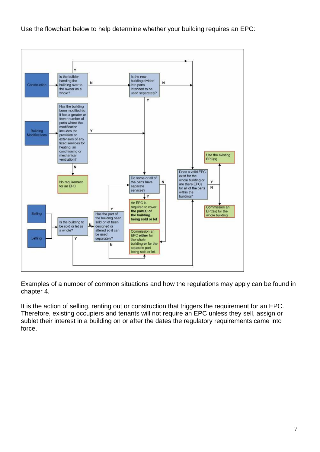Use the flowchart below to help determine whether your building requires an EPC:



Examples of a number of common situations and how the regulations may apply can be found in chapter 4.

It is the action of selling, renting out or construction that triggers the requirement for an EPC. Therefore, existing occupiers and tenants will not require an EPC unless they sell, assign or sublet their interest in a building on or after the dates the regulatory requirements came into force.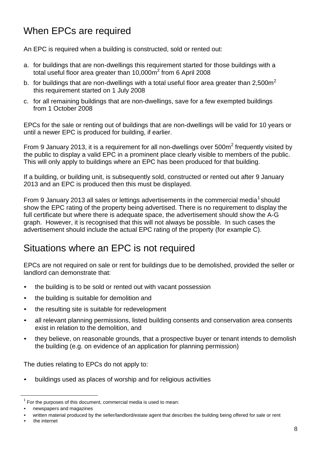## When EPCs are required

An EPC is required when a building is constructed, sold or rented out:

- a. for buildings that are non-dwellings this requirement started for those buildings with a total useful floor area greater than 10,000m<sup>2</sup> from 6 April 2008
- b. for buildings that are non-dwellings with a total useful floor area greater than  $2,500m^2$ this requirement started on 1 July 2008
- c. for all remaining buildings that are non-dwellings, save for a few exempted buildings from 1 October 2008

EPCs for the sale or renting out of buildings that are non-dwellings will be valid for 10 years or until a newer EPC is produced for building, if earlier.

From 9 January 2013, it is a requirement for all non-dwellings over  $500m^2$  frequently visited by the public to display a valid EPC in a prominent place clearly visible to members of the public. This will only apply to buildings where an EPC has been produced for that building.

If a building, or building unit, is subsequently sold, constructed or rented out after 9 January 2013 and an EPC is produced then this must be displayed.

From 9 January 2013 all sales or lettings advertisements in the commercial media<sup>1</sup> should show the EPC rating of the property being advertised. There is no requirement to display the full certificate but where there is adequate space, the advertisement should show the A-G graph. However, it is recognised that this will not always be possible. In such cases the advertisement should include the actual EPC rating of the property (for example C).

#### Situations where an EPC is not required

EPCs are not required on sale or rent for buildings due to be demolished, provided the seller or landlord can demonstrate that:

- the building is to be sold or rented out with vacant possession
- the building is suitable for demolition and
- the resulting site is suitable for redevelopment
- all relevant planning permissions, listed building consents and conservation area consents exist in relation to the demolition, and
- they believe, on reasonable grounds, that a prospective buyer or tenant intends to demolish the building (e.g. on evidence of an application for planning permission)

The duties relating to EPCs do not apply to:

• buildings used as places of worship and for religious activities

 $\ddot{\phantom{a}}$ 

 $1$  For the purposes of this document, commercial media is used to mean:

<sup>•</sup> newspapers and magazines

<sup>•</sup> written material produced by the seller/landlord/estate agent that describes the building being offered for sale or rent

the internet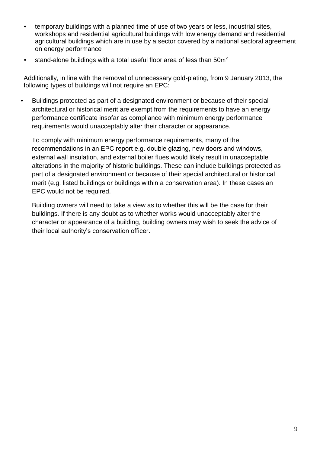- temporary buildings with a planned time of use of two years or less, industrial sites, workshops and residential agricultural buildings with low energy demand and residential agricultural buildings which are in use by a sector covered by a national sectoral agreement on energy performance
- stand-alone buildings with a total useful floor area of less than  $50m^2$

Additionally, in line with the removal of unnecessary gold-plating, from 9 January 2013, the following types of buildings will not require an EPC:

• Buildings protected as part of a designated environment or because of their special architectural or historical merit are exempt from the requirements to have an energy performance certificate insofar as compliance with minimum energy performance requirements would unacceptably alter their character or appearance.

To comply with minimum energy performance requirements, many of the recommendations in an EPC report e.g. double glazing, new doors and windows, external wall insulation, and external boiler flues would likely result in unacceptable alterations in the majority of historic buildings. These can include buildings protected as part of a designated environment or because of their special architectural or historical merit (e.g. listed buildings or buildings within a conservation area). In these cases an EPC would not be required.

Building owners will need to take a view as to whether this will be the case for their buildings. If there is any doubt as to whether works would unacceptably alter the character or appearance of a building, building owners may wish to seek the advice of their local authority's conservation officer.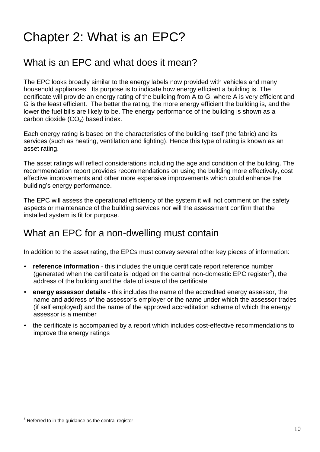# <span id="page-10-0"></span>Chapter 2: What is an EPC?

#### What is an EPC and what does it mean?

The EPC looks broadly similar to the energy labels now provided with vehicles and many household appliances. Its purpose is to indicate how energy efficient a building is. The certificate will provide an energy rating of the building from A to G, where A is very efficient and G is the least efficient. The better the rating, the more energy efficient the building is, and the lower the fuel bills are likely to be. The energy performance of the building is shown as a carbon dioxide  $(CO<sub>2</sub>)$  based index.

Each energy rating is based on the characteristics of the building itself (the fabric) and its services (such as heating, ventilation and lighting). Hence this type of rating is known as an asset rating.

The asset ratings will reflect considerations including the age and condition of the building. The recommendation report provides recommendations on using the building more effectively, cost effective improvements and other more expensive improvements which could enhance the building's energy performance.

The EPC will assess the operational efficiency of the system it will not comment on the safety aspects or maintenance of the building services nor will the assessment confirm that the installed system is fit for purpose.

#### What an EPC for a non-dwelling must contain

In addition to the asset rating, the EPCs must convey several other key pieces of information:

- **reference information** this includes the unique certificate report reference number (generated when the certificate is lodged on the central non-domestic EPC register<sup>2</sup>), the address of the building and the date of issue of the certificate
- **energy assessor details**  this includes the name of the accredited energy assessor, the name and address of the assessor's employer or the name under which the assessor trades (if self employed) and the name of the approved accreditation scheme of which the energy assessor is a member
- the certificate is accompanied by a report which includes cost-effective recommendations to improve the energy ratings

 $\ddot{\phantom{a}}$ 

 $2$  Referred to in the guidance as the central register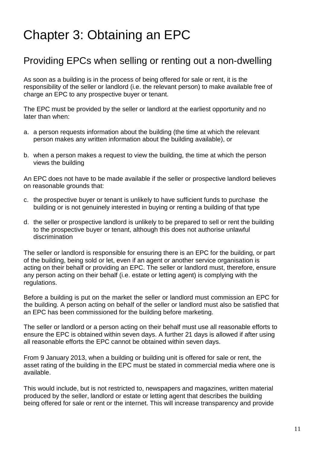# <span id="page-11-0"></span>Chapter 3: Obtaining an EPC

#### Providing EPCs when selling or renting out a non-dwelling

As soon as a building is in the process of being offered for sale or rent, it is the responsibility of the seller or landlord (i.e. the relevant person) to make available free of charge an EPC to any prospective buyer or tenant.

The EPC must be provided by the seller or landlord at the earliest opportunity and no later than when:

- a. a person requests information about the building (the time at which the relevant person makes any written information about the building available), or
- b. when a person makes a request to view the building, the time at which the person views the building

An EPC does not have to be made available if the seller or prospective landlord believes on reasonable grounds that:

- c. the prospective buyer or tenant is unlikely to have sufficient funds to purchase the building or is not genuinely interested in buying or renting a building of that type
- d. the seller or prospective landlord is unlikely to be prepared to sell or rent the building to the prospective buyer or tenant, although this does not authorise unlawful discrimination

The seller or landlord is responsible for ensuring there is an EPC for the building, or part of the building, being sold or let, even if an agent or another service organisation is acting on their behalf or providing an EPC. The seller or landlord must, therefore, ensure any person acting on their behalf (i.e. estate or letting agent) is complying with the regulations.

Before a building is put on the market the seller or landlord must commission an EPC for the building. A person acting on behalf of the seller or landlord must also be satisfied that an EPC has been commissioned for the building before marketing.

The seller or landlord or a person acting on their behalf must use all reasonable efforts to ensure the EPC is obtained within seven days. A further 21 days is allowed if after using all reasonable efforts the EPC cannot be obtained within seven days.

From 9 January 2013, when a building or building unit is offered for sale or rent, the asset rating of the building in the EPC must be stated in commercial media where one is available.

This would include, but is not restricted to, newspapers and magazines, written material produced by the seller, landlord or estate or letting agent that describes the building being offered for sale or rent or the internet. This will increase transparency and provide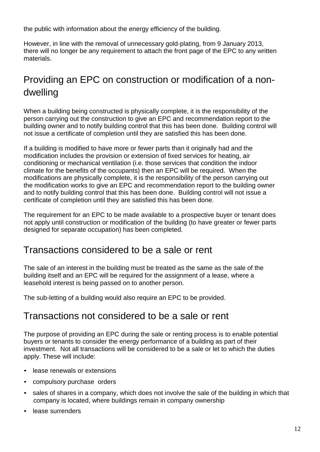the public with information about the energy efficiency of the building.

However, in line with the removal of unnecessary gold-plating, from 9 January 2013, there will no longer be any requirement to attach the front page of the EPC to any written materials.

# Providing an EPC on construction or modification of a nondwelling

When a building being constructed is physically complete, it is the responsibility of the person carrying out the construction to give an EPC and recommendation report to the building owner and to notify building control that this has been done. Building control will not issue a certificate of completion until they are satisfied this has been done.

If a building is modified to have more or fewer parts than it originally had and the modification includes the provision or extension of fixed services for heating, air conditioning or mechanical ventilation (i.e. those services that condition the indoor climate for the benefits of the occupants) then an EPC will be required. When the modifications are physically complete, it is the responsibility of the person carrying out the modification works to give an EPC and recommendation report to the building owner and to notify building control that this has been done. Building control will not issue a certificate of completion until they are satisfied this has been done.

The requirement for an EPC to be made available to a prospective buyer or tenant does not apply until construction or modification of the building (to have greater or fewer parts designed for separate occupation) has been completed.

#### Transactions considered to be a sale or rent

The sale of an interest in the building must be treated as the same as the sale of the building itself and an EPC will be required for the assignment of a lease, where a leasehold interest is being passed on to another person.

The sub-letting of a building would also require an EPC to be provided.

#### Transactions not considered to be a sale or rent

The purpose of providing an EPC during the sale or renting process is to enable potential buyers or tenants to consider the energy performance of a building as part of their investment. Not all transactions will be considered to be a sale or let to which the duties apply. These will include:

- lease renewals or extensions
- compulsory purchase orders
- sales of shares in a company, which does not involve the sale of the building in which that company is located, where buildings remain in company ownership
- lease surrenders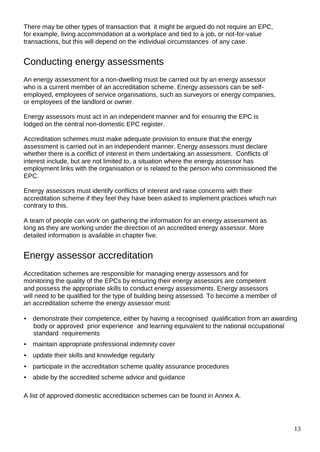There may be other types of transaction that it might be argued do not require an EPC, for example, living accommodation at a workplace and tied to a job, or not-for-value transactions, but this will depend on the individual circumstances of any case.

#### Conducting energy assessments

An energy assessment for a non-dwelling must be carried out by an energy assessor who is a current member of an accreditation scheme. Energy assessors can be selfemployed, employees of service organisations, such as surveyors or energy companies, or employees of the landlord or owner.

Energy assessors must act in an independent manner and for ensuring the EPC is lodged on the central non-domestic EPC register.

Accreditation schemes must make adequate provision to ensure that the energy assessment is carried out in an independent manner. Energy assessors must declare whether there is a conflict of interest in them undertaking an assessment. Conflicts of interest include, but are not limited to, a situation where the energy assessor has employment links with the organisation or is related to the person who commissioned the EPC.

Energy assessors must identify conflicts of interest and raise concerns with their accreditation scheme if they feel they have been asked to implement practices which run contrary to this.

A team of people can work on gathering the information for an energy assessment as long as they are working under the direction of an accredited energy assessor. More detailed information is available in chapter five.

#### Energy assessor accreditation

Accreditation schemes are responsible for managing energy assessors and for monitoring the quality of the EPCs by ensuring their energy assessors are competent and possess the appropriate skills to conduct energy assessments. Energy assessors will need to be qualified for the type of building being assessed. To become a member of an accreditation scheme the energy assessor must:

- demonstrate their competence, either by having a recognised qualification from an awarding body or approved prior experience and learning equivalent to the national occupational standard requirements
- maintain appropriate professional indemnity cover
- update their skills and knowledge regularly
- participate in the accreditation scheme quality assurance procedures
- abide by the accredited scheme advice and guidance

A list of approved domestic accreditation schemes can be found in Annex A.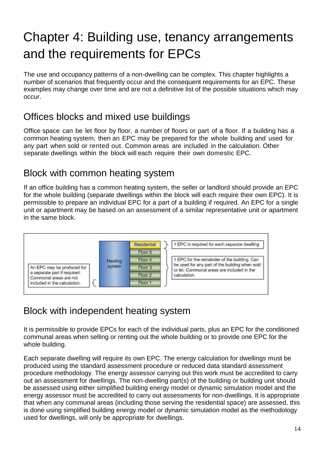# <span id="page-14-0"></span>Chapter 4: Building use, tenancy arrangements and the requirements for EPCs

The use and occupancy patterns of a non-dwelling can be complex. This chapter highlights a number of scenarios that frequently occur and the consequent requirements for an EPC. These examples may change over time and are not a definitive list of the possible situations which may occur.

## Offices blocks and mixed use buildings

Office space can be let floor by floor, a number of floors or part of a floor. If a building has a common heating system, then an EPC may be prepared for the whole building and used for any part when sold or rented out. Common areas are included in the calculation. Other separate dwellings within the block will each require their own domestic EPC.

### Block with common heating system

If an office building has a common heating system, the seller or landlord should provide an EPC for the whole building (separate dwellings within the block will each require their own EPC). It is permissible to prepare an individual EPC for a part of a building if required. An EPC for a single unit or apartment may be based on an assessment of a similar representative unit or apartment in the same block.



## Block with independent heating system

It is permissible to provide EPCs for each of the individual parts, plus an EPC for the conditioned communal areas when selling or renting out the whole building or to provide one EPC for the whole building.

Each separate dwelling will require its own EPC. The energy calculation for dwellings must be produced using the standard assessment procedure or reduced data standard assessment procedure methodology. The energy assessor carrying out this work must be accredited to carry out an assessment for dwellings. The non-dwelling part(s) of the building or building unit should be assessed using either simplified building energy model or dynamic simulation model and the energy assessor must be accredited to carry out assessments for non-dwellings. It is appropriate that when any communal areas (including those serving the residential space) are assessed, this is done using simplified building energy model or dynamic simulation model as the methodology used for dwellings, will only be appropriate for dwellings.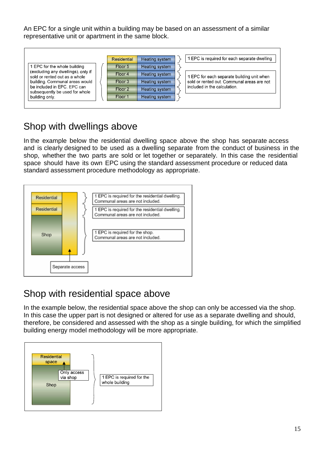An EPC for a single unit within a building may be based on an assessment of a similar representative unit or apartment in the same block.

|                                                                     | Residential        | Heating system        | 1 EPC is required for each separate dwelling |
|---------------------------------------------------------------------|--------------------|-----------------------|----------------------------------------------|
| 1 EPC for the whole building                                        | Floor 5            | Heating system        |                                              |
| (excluding any dwellings), only if<br>sold or rented out as a whole | Floor 4            | Heating system        | 1 EPC for each separate building unit when   |
| building. Communal areas would                                      | Floor 3            | <b>Heating system</b> | sold or rented out. Communal areas are not   |
| be included in EPC. EPC can<br>subsequently be used for whole       | Floor <sub>2</sub> | Heating system        | included in the calculation.                 |
| building only.                                                      | Floor 1            | Heating system        |                                              |
|                                                                     |                    |                       |                                              |

### Shop with dwellings above

In the example below the residential dwelling space above the shop has separate access and is clearly designed to be used as a dwelling separate from the conduct of business in the shop, whether the two parts are sold or let together or separately. In this case the residential space should have its own EPC using the standard assessment procedure or reduced data standard assessment procedure methodology as appropriate.



### Shop with residential space above

In the example below, the residential space above the shop can only be accessed via the shop. In this case the upper part is not designed or altered for use as a separate dwelling and should, therefore, be considered and assessed with the shop as a single building, for which the simplified building energy model methodology will be more appropriate.

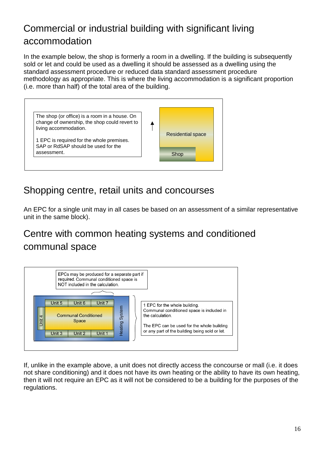# Commercial or industrial building with significant living accommodation

In the example below, the shop is formerly a room in a dwelling. If the building is subsequently sold or let and could be used as a dwelling it should be assessed as a dwelling using the standard assessment procedure or reduced data standard assessment procedure methodology as appropriate. This is where the living accommodation is a significant proportion (i.e. more than half) of the total area of the building.



### Shopping centre, retail units and concourses

An EPC for a single unit may in all cases be based on an assessment of a similar representative unit in the same block).

# Centre with common heating systems and conditioned communal space



If, unlike in the example above, a unit does not directly access the concourse or mall (i.e. it does not share conditioning) and it does not have its own heating or the ability to have its own heating, then it will not require an EPC as it will not be considered to be a building for the purposes of the regulations.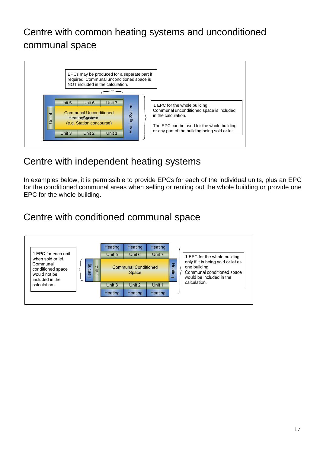## Centre with common heating systems and unconditioned communal space



## Centre with independent heating systems

In examples below, it is permissible to provide EPCs for each of the individual units, plus an EPC for the conditioned communal areas when selling or renting out the whole building or provide one EPC for the whole building.

## Centre with conditioned communal space

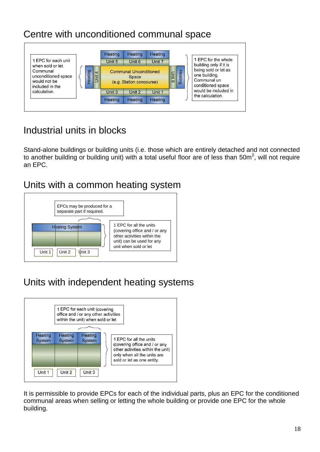## Centre with unconditioned communal space



# Industrial units in blocks

Stand-alone buildings or building units (i.e. those which are entirely detached and not connected to another building or building unit) with a total useful floor are of less than 50m<sup>2</sup>, will not require an EPC.

#### Units with a common heating system



## Units with independent heating systems



It is permissible to provide EPCs for each of the individual parts, plus an EPC for the conditioned communal areas when selling or letting the whole building or provide one EPC for the whole building.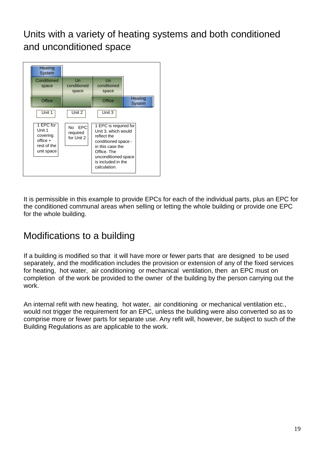Units with a variety of heating systems and both conditioned and unconditioned space



It is permissible in this example to provide EPCs for each of the individual parts, plus an EPC for the conditioned communal areas when selling or letting the whole building or provide one EPC for the whole building.

### Modifications to a building

If a building is modified so that it will have more or fewer parts that are designed to be used separately, and the modification includes the provision or extension of any of the fixed services for heating, hot water, air conditioning or mechanical ventilation, then an EPC must on completion of the work be provided to the owner of the building by the person carrying out the work.

An internal refit with new heating, hot water, air conditioning or mechanical ventilation etc., would not trigger the requirement for an EPC, unless the building were also converted so as to comprise more or fewer parts for separate use. Any refit will, however, be subject to such of the Building Regulations as are applicable to the work.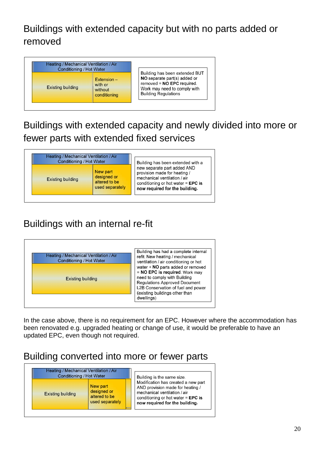# Buildings with extended capacity but with no parts added or removed

| Heating / Mechanical Ventilation / Air<br>Conditioning / Hot Water |                                                     |                                                                                                                                                               |
|--------------------------------------------------------------------|-----------------------------------------------------|---------------------------------------------------------------------------------------------------------------------------------------------------------------|
| <b>Existing building</b>                                           | $Extension -$<br>with or<br>without<br>conditioning | Building has been extended BUT<br>NO separate part(s) added or<br>removed = $NO$ EPC required.<br>Work may need to comply with<br><b>Building Regulations</b> |

# Buildings with extended capacity and newly divided into more or fewer parts with extended fixed services

| Heating / Mechanical Ventilation / Air<br>Conditioning / Hot Water |                                                             | Building has been extended with a                                                                                                                                     |
|--------------------------------------------------------------------|-------------------------------------------------------------|-----------------------------------------------------------------------------------------------------------------------------------------------------------------------|
| <b>Existing building</b>                                           | New part<br>designed or<br>altered to be<br>used separately | new separate part added AND<br>provision made for heating /<br>mechanical ventilation / air<br>conditioning or hot water $=$ EPC is<br>now required for the building. |

# Buildings with an internal re-fit



In the case above, there is no requirement for an EPC. However where the accommodation has been renovated e.g. upgraded heating or change of use, it would be preferable to have an updated EPC, even though not required.

## Building converted into more or fewer parts

| Heating / Mechanical Ventilation / Air<br><b>Conditioning / Hot Water</b> |                                                             | Building is the same size.                                                                                                                                                        |
|---------------------------------------------------------------------------|-------------------------------------------------------------|-----------------------------------------------------------------------------------------------------------------------------------------------------------------------------------|
| <b>Existing building</b>                                                  | New part<br>designed or<br>altered to be<br>used separately | Modification has created a new part<br>AND provision made for heating /<br>mechanical ventilation / air<br>conditioning or hot water $=$ EPC is<br>now required for the building. |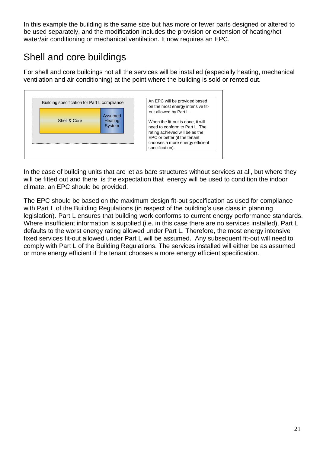In this example the building is the same size but has more or fewer parts designed or altered to be used separately, and the modification includes the provision or extension of heating/hot water/air conditioning or mechanical ventilation. It now requires an EPC.

# Shell and core buildings

For shell and core buildings not all the services will be installed (especially heating, mechanical ventilation and air conditioning) at the point where the building is sold or rented out.



In the case of building units that are let as bare structures without services at all, but where they will be fitted out and there is the expectation that energy will be used to condition the indoor climate, an EPC should be provided.

The EPC should be based on the maximum design fit-out specification as used for compliance with Part L of the Building Regulations (in respect of the building's use class in planning legislation). Part L ensures that building work conforms to current energy performance standards. Where insufficient information is supplied (i.e. in this case there are no services installed), Part L defaults to the worst energy rating allowed under Part L. Therefore, the most energy intensive fixed services fit-out allowed under Part L will be assumed. Any subsequent fit-out will need to comply with Part L of the Building Regulations. The services installed will either be as assumed or more energy efficient if the tenant chooses a more energy efficient specification.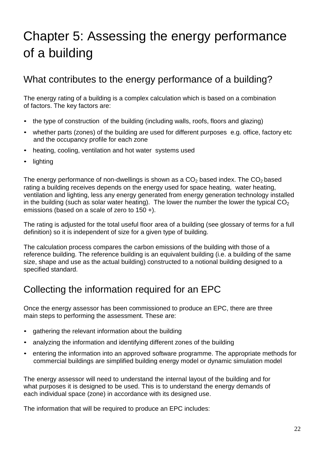# <span id="page-22-0"></span>Chapter 5: Assessing the energy performance of a building

### What contributes to the energy performance of a building?

The energy rating of a building is a complex calculation which is based on a combination of factors. The key factors are:

- the type of construction of the building (including walls, roofs, floors and glazing)
- whether parts (zones) of the building are used for different purposes e.g. office, factory etc and the occupancy profile for each zone
- heating, cooling, ventilation and hot water systems used
- lighting

The energy performance of non-dwellings is shown as a  $CO<sub>2</sub>$  based index. The  $CO<sub>2</sub>$  based rating a building receives depends on the energy used for space heating, water heating, ventilation and lighting, less any energy generated from energy generation technology installed in the building (such as solar water heating). The lower the number the lower the typical  $CO<sub>2</sub>$ emissions (based on a scale of zero to 150 +).

The rating is adjusted for the total useful floor area of a building (see glossary of terms for a full definition) so it is independent of size for a given type of building.

The calculation process compares the carbon emissions of the building with those of a reference building. The reference building is an equivalent building (i.e. a building of the same size, shape and use as the actual building) constructed to a notional building designed to a specified standard.

### Collecting the information required for an EPC

Once the energy assessor has been commissioned to produce an EPC, there are three main steps to performing the assessment. These are:

- gathering the relevant information about the building
- analyzing the information and identifying different zones of the building
- entering the information into an approved software programme. The appropriate methods for commercial buildings are simplified building energy model or dynamic simulation model

The energy assessor will need to understand the internal layout of the building and for what purposes it is designed to be used. This is to understand the energy demands of each individual space (zone) in accordance with its designed use.

The information that will be required to produce an EPC includes: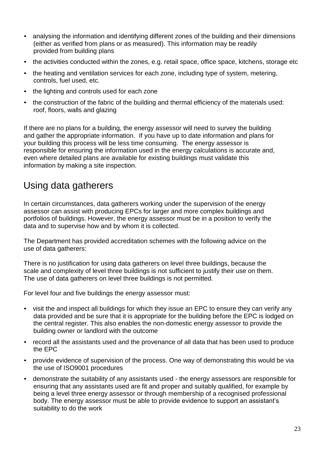- analysing the information and identifying different zones of the building and their dimensions (either as verified from plans or as measured). This information may be readily provided from building plans
- the activities conducted within the zones, e.g. retail space, office space, kitchens, storage etc
- the heating and ventilation services for each zone, including type of system, metering, controls, fuel used, etc.
- the lighting and controls used for each zone
- the construction of the fabric of the building and thermal efficiency of the materials used: roof, floors, walls and glazing

If there are no plans for a building, the energy assessor will need to survey the building and gather the appropriate information. If you have up to date information and plans for your building this process will be less time consuming. The energy assessor is responsible for ensuring the information used in the energy calculations is accurate and, even where detailed plans are available for existing buildings must validate this information by making a site inspection.

## Using data gatherers

In certain circumstances, data gatherers working under the supervision of the energy assessor can assist with producing EPCs for larger and more complex buildings and portfolios of buildings. However, the energy assessor must be in a position to verify the data and to supervise how and by whom it is collected.

The Department has provided accreditation schemes with the following advice on the use of data gatherers:

There is no justification for using data gatherers on level three buildings, because the scale and complexity of level three buildings is not sufficient to justify their use on them. The use of data gatherers on level three buildings is not permitted.

For level four and five buildings the energy assessor must:

- visit the and inspect all buildings for which they issue an EPC to ensure they can verify any data provided and be sure that it is appropriate for the building before the EPC is lodged on the central register. This also enables the non-domestic energy assessor to provide the building owner or landlord with the outcome
- record all the assistants used and the provenance of all data that has been used to produce the EPC
- provide evidence of supervision of the process. One way of demonstrating this would be via the use of ISO9001 procedures
- demonstrate the suitability of any assistants used the energy assessors are responsible for ensuring that any assistants used are fit and proper and suitably qualified, for example by being a level three energy assessor or through membership of a recognised professional body. The energy assessor must be able to provide evidence to support an assistant's suitability to do the work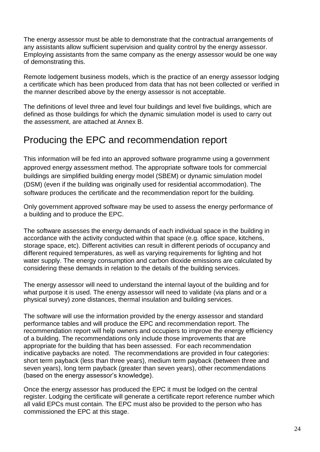The energy assessor must be able to demonstrate that the contractual arrangements of any assistants allow sufficient supervision and quality control by the energy assessor. Employing assistants from the same company as the energy assessor would be one way of demonstrating this.

Remote lodgement business models, which is the practice of an energy assessor lodging a certificate which has been produced from data that has not been collected or verified in the manner described above by the energy assessor is not acceptable.

The definitions of level three and level four buildings and level five buildings, which are defined as those buildings for which the dynamic simulation model is used to carry out the assessment, are attached at Annex B.

### Producing the EPC and recommendation report

This information will be fed into an approved software programme using a government approved energy assessment method. The appropriate software tools for commercial buildings are simplified building energy model (SBEM) or dynamic simulation model (DSM) (even if the building was originally used for residential accommodation). The software produces the certificate and the recommendation report for the building.

Only government approved software may be used to assess the energy performance of a building and to produce the EPC.

The software assesses the energy demands of each individual space in the building in accordance with the activity conducted within that space (e.g. office space, kitchens, storage space, etc). Different activities can result in different periods of occupancy and different required temperatures, as well as varying requirements for lighting and hot water supply. The energy consumption and carbon dioxide emissions are calculated by considering these demands in relation to the details of the building services.

The energy assessor will need to understand the internal layout of the building and for what purpose it is used. The energy assessor will need to validate (via plans and or a physical survey) zone distances, thermal insulation and building services.

The software will use the information provided by the energy assessor and standard performance tables and will produce the EPC and recommendation report. The recommendation report will help owners and occupiers to improve the energy efficiency of a building. The recommendations only include those improvements that are appropriate for the building that has been assessed. For each recommendation indicative paybacks are noted. The recommendations are provided in four categories: short term payback (less than three years), medium term payback (between three and seven years), long term payback (greater than seven years), other recommendations (based on the energy assessor's knowledge).

Once the energy assessor has produced the EPC it must be lodged on the central register. Lodging the certificate will generate a certificate report reference number which all valid EPCs must contain. The EPC must also be provided to the person who has commissioned the EPC at this stage.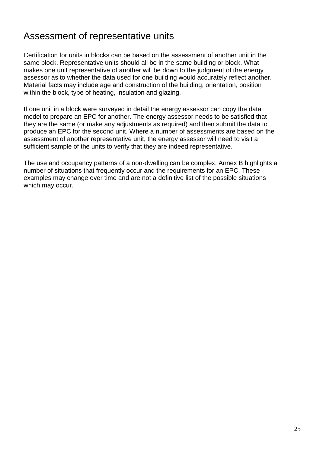### Assessment of representative units

Certification for units in blocks can be based on the assessment of another unit in the same block. Representative units should all be in the same building or block. What makes one unit representative of another will be down to the judgment of the energy assessor as to whether the data used for one building would accurately reflect another. Material facts may include age and construction of the building, orientation, position within the block, type of heating, insulation and glazing.

If one unit in a block were surveyed in detail the energy assessor can copy the data model to prepare an EPC for another. The energy assessor needs to be satisfied that they are the same (or make any adjustments as required) and then submit the data to produce an EPC for the second unit. Where a number of assessments are based on the assessment of another representative unit, the energy assessor will need to visit a sufficient sample of the units to verify that they are indeed representative.

The use and occupancy patterns of a non-dwelling can be complex. Annex B highlights a number of situations that frequently occur and the requirements for an EPC. These examples may change over time and are not a definitive list of the possible situations which may occur.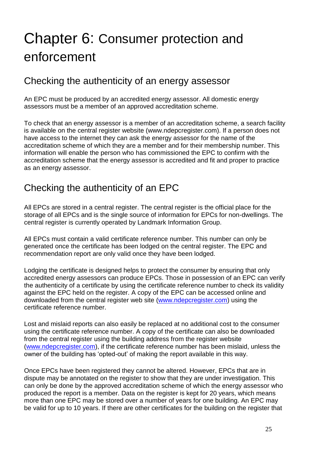# <span id="page-26-0"></span>Chapter 6: Consumer protection and enforcement

#### Checking the authenticity of an energy assessor

An EPC must be produced by an accredited energy assessor. All domestic energy assessors must be a member of an approved accreditation scheme.

To check that an energy assessor is a member of an accreditation scheme, a search facility is available on the central register website (www.ndepcregister.com). If a person does not have access to the internet they can ask the energy assessor for the name of the accreditation scheme of which they are a member and for their membership number. This information will enable the person who has commissioned the EPC to confirm with the accreditation scheme that the energy assessor is accredited and fit and proper to practice as an energy assessor.

### Checking the authenticity of an EPC

All EPCs are stored in a central register. The central register is the official place for the storage of all EPCs and is the single source of information for EPCs for non-dwellings. The central register is currently operated by Landmark Information Group.

All EPCs must contain a valid certificate reference number. This number can only be generated once the certificate has been lodged on the central register. The EPC and recommendation report are only valid once they have been lodged.

Lodging the certificate is designed helps to protect the consumer by ensuring that only accredited energy assessors can produce EPCs. Those in possession of an EPC can verify the authenticity of a certificate by using the certificate reference number to check its validity against the EPC held on the register. A copy of the EPC can be accessed online and downloaded from the central register web site [\(www.ndepcregister.com\)](http://www.ndepcregister.com/) using the certificate reference number.

Lost and mislaid reports can also easily be replaced at no additional cost to the consumer using the certificate reference number. A copy of the certificate can also be downloaded from the central register using the building address from the register website [\(www.ndepcregister.com\)](http://www.ndepcregister.com/), if the certificate reference number has been mislaid, unless the owner of the building has 'opted-out' of making the report available in this way.

Once EPCs have been registered they cannot be altered. However, EPCs that are in dispute may be annotated on the register to show that they are under investigation. This can only be done by the approved accreditation scheme of which the energy assessor who produced the report is a member. Data on the register is kept for 20 years, which means more than one EPC may be stored over a number of years for one building. An EPC may be valid for up to 10 years. If there are other certificates for the building on the register that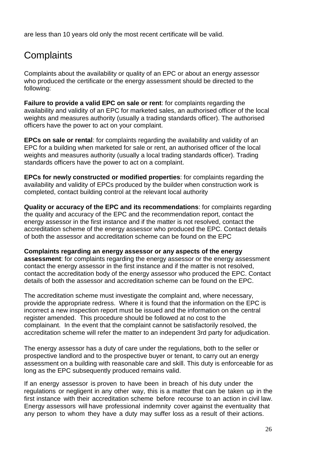are less than 10 years old only the most recent certificate will be valid.

# **Complaints**

Complaints about the availability or quality of an EPC or about an energy assessor who produced the certificate or the energy assessment should be directed to the following:

**Failure to provide a valid EPC on sale or rent**: for complaints regarding the availability and validity of an EPC for marketed sales, an authorised officer of the local weights and measures authority (usually a trading standards officer). The authorised officers have the power to act on your complaint.

**EPCs on sale or rental**: for complaints regarding the availability and validity of an EPC for a building when marketed for sale or rent, an authorised officer of the local weights and measures authority (usually a local trading standards officer). Trading standards officers have the power to act on a complaint.

**EPCs for newly constructed or modified properties**: for complaints regarding the availability and validity of EPCs produced by the builder when construction work is completed, contact building control at the relevant local authority

**Quality or accuracy of the EPC and its recommendations**: for complaints regarding the quality and accuracy of the EPC and the recommendation report, contact the energy assessor in the first instance and if the matter is not resolved, contact the accreditation scheme of the energy assessor who produced the EPC. Contact details of both the assessor and accreditation scheme can be found on the EPC

**Complaints regarding an energy assessor or any aspects of the energy assessment**: for complaints regarding the energy assessor or the energy assessment contact the energy assessor in the first instance and if the matter is not resolved, contact the accreditation body of the energy assessor who produced the EPC. Contact details of both the assessor and accreditation scheme can be found on the EPC.

The accreditation scheme must investigate the complaint and, where necessary, provide the appropriate redress. Where it is found that the information on the EPC is incorrect a new inspection report must be issued and the information on the central register amended. This procedure should be followed at no cost to the complainant. In the event that the complaint cannot be satisfactorily resolved, the accreditation scheme will refer the matter to an independent 3rd party for adjudication.

The energy assessor has a duty of care under the regulations, both to the seller or prospective landlord and to the prospective buyer or tenant, to carry out an energy assessment on a building with reasonable care and skill. This duty is enforceable for as long as the EPC subsequently produced remains valid.

If an energy assessor is proven to have been in breach of his duty under the regulations or negligent in any other way, this is a matter that can be taken up in the first instance with their accreditation scheme before recourse to an action in civil law. Energy assessors will have professional indemnity cover against the eventuality that any person to whom they have a duty may suffer loss as a result of their actions.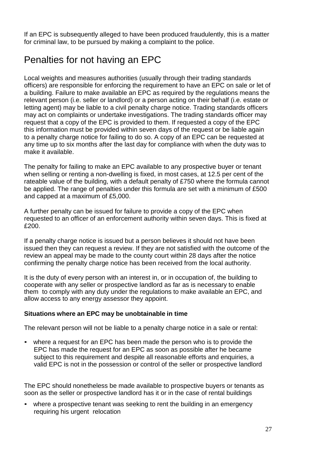If an EPC is subsequently alleged to have been produced fraudulently, this is a matter for criminal law, to be pursued by making a complaint to the police.

# Penalties for not having an EPC

Local weights and measures authorities (usually through their trading standards officers) are responsible for enforcing the requirement to have an EPC on sale or let of a building. Failure to make available an EPC as required by the regulations means the relevant person (i.e. seller or landlord) or a person acting on their behalf (i.e. estate or letting agent) may be liable to a civil penalty charge notice. Trading standards officers may act on complaints or undertake investigations. The trading standards officer may request that a copy of the EPC is provided to them. If requested a copy of the EPC this information must be provided within seven days of the request or be liable again to a penalty charge notice for failing to do so. A copy of an EPC can be requested at any time up to six months after the last day for compliance with when the duty was to make it available.

The penalty for failing to make an EPC available to any prospective buyer or tenant when selling or renting a non-dwelling is fixed, in most cases, at 12.5 per cent of the rateable value of the building, with a default penalty of £750 where the formula cannot be applied. The range of penalties under this formula are set with a minimum of £500 and capped at a maximum of £5,000.

A further penalty can be issued for failure to provide a copy of the EPC when requested to an officer of an enforcement authority within seven days. This is fixed at £200.

If a penalty charge notice is issued but a person believes it should not have been issued then they can request a review. If they are not satisfied with the outcome of the review an appeal may be made to the county court within 28 days after the notice confirming the penalty charge notice has been received from the local authority.

It is the duty of every person with an interest in, or in occupation of, the building to cooperate with any seller or prospective landlord as far as is necessary to enable them to comply with any duty under the regulations to make available an EPC, and allow access to any energy assessor they appoint.

#### **Situations where an EPC may be unobtainable in time**

The relevant person will not be liable to a penalty charge notice in a sale or rental:

where a request for an EPC has been made the person who is to provide the EPC has made the request for an EPC as soon as possible after he became subject to this requirement and despite all reasonable efforts and enquiries, a valid EPC is not in the possession or control of the seller or prospective landlord

The EPC should nonetheless be made available to prospective buyers or tenants as soon as the seller or prospective landlord has it or in the case of rental buildings

where a prospective tenant was seeking to rent the building in an emergency requiring his urgent relocation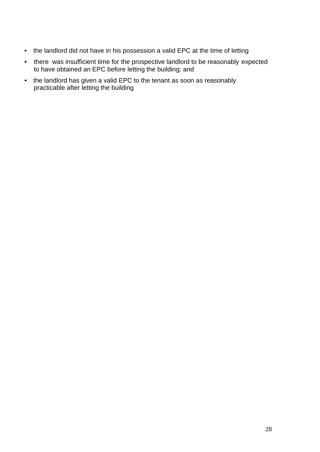- the landlord did not have in his possession a valid EPC at the time of letting
- there was insufficient time for the prospective landlord to be reasonably expected to have obtained an EPC before letting the building; and
- the landlord has given a valid EPC to the tenant as soon as reasonably practicable after letting the building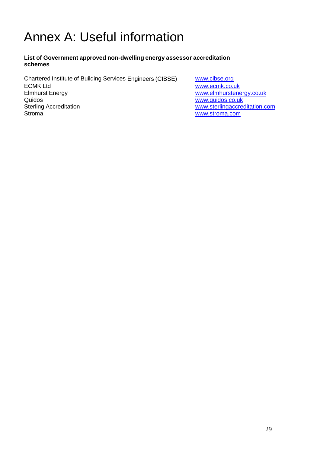# <span id="page-30-0"></span>Annex A: Useful information

#### **List of Government approved non-dwelling energy assessor accreditation schemes**

Chartered Institute of Building Services Engineers (CIBSE) [www.cibse.org](http://www.cibse.org/) ECMK Ltd [www.ecmk.co.uk](http://www.ecmk.co.uk/) Elmhurst Energy<br>
Quidos<br>
Quidos<br>
Quidos www.guidos.co.uk Quidos<br>
Sterling Accreditation<br>
Sterling Accreditation Sterling Accreditation and the sterling Accreditation [www.sterlingaccreditation.com](http://www.sterlingaccreditation.com/)<br>Stroma<br>www.stroma.com

[www.stroma.com](http://www.stroma.com/)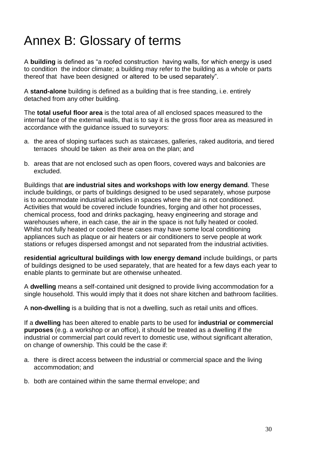# <span id="page-31-0"></span>Annex B: Glossary of terms

A **building** is defined as "a roofed construction having walls, for which energy is used to condition the indoor climate; a building may refer to the building as a whole or parts thereof that have been designed or altered to be used separately".

A **stand-alone** building is defined as a building that is free standing, i.e. entirely detached from any other building.

The **total useful floor area** is the total area of all enclosed spaces measured to the internal face of the external walls, that is to say it is the gross floor area as measured in accordance with the guidance issued to surveyors:

- a. the area of sloping surfaces such as staircases, galleries, raked auditoria, and tiered terraces should be taken as their area on the plan; and
- b. areas that are not enclosed such as open floors, covered ways and balconies are excluded.

Buildings that **are industrial sites and workshops with low energy demand**. These include buildings, or parts of buildings designed to be used separately, whose purpose is to accommodate industrial activities in spaces where the air is not conditioned. Activities that would be covered include foundries, forging and other hot processes, chemical process, food and drinks packaging, heavy engineering and storage and warehouses where, in each case, the air in the space is not fully heated or cooled. Whilst not fully heated or cooled these cases may have some local conditioning appliances such as plaque or air heaters or air conditioners to serve people at work stations or refuges dispersed amongst and not separated from the industrial activities.

**residential agricultural buildings with low energy demand** include buildings, or parts of buildings designed to be used separately, that are heated for a few days each year to enable plants to germinate but are otherwise unheated.

A **dwelling** means a self-contained unit designed to provide living accommodation for a single household. This would imply that it does not share kitchen and bathroom facilities.

A **non-dwelling** is a building that is not a dwelling, such as retail units and offices.

If a **dwelling** has been altered to enable parts to be used for **industrial or commercial purposes** (e.g. a workshop or an office), it should be treated as a dwelling if the industrial or commercial part could revert to domestic use, without significant alteration, on change of ownership. This could be the case if:

- a. there is direct access between the industrial or commercial space and the living accommodation; and
- b. both are contained within the same thermal envelope; and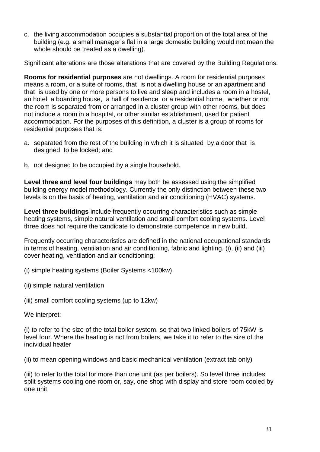c. the living accommodation occupies a substantial proportion of the total area of the building (e.g. a small manager's flat in a large domestic building would not mean the whole should be treated as a dwelling).

Significant alterations are those alterations that are covered by the Building Regulations.

**Rooms for residential purposes** are not dwellings. A room for residential purposes means a room, or a suite of rooms, that is not a dwelling house or an apartment and that is used by one or more persons to live and sleep and includes a room in a hostel, an hotel, a boarding house, a hall of residence or a residential home, whether or not the room is separated from or arranged in a cluster group with other rooms, but does not include a room in a hospital, or other similar establishment, used for patient accommodation. For the purposes of this definition, a cluster is a group of rooms for residential purposes that is:

- a. separated from the rest of the building in which it is situated by a door that is designed to be locked; and
- b. not designed to be occupied by a single household.

**Level three and level four buildings** may both be assessed using the simplified building energy model methodology. Currently the only distinction between these two levels is on the basis of heating, ventilation and air conditioning (HVAC) systems.

**Level three buildings** include frequently occurring characteristics such as simple heating systems, simple natural ventilation and small comfort cooling systems. Level three does not require the candidate to demonstrate competence in new build.

Frequently occurring characteristics are defined in the national occupational standards in terms of heating, ventilation and air conditioning, fabric and lighting. (i), (ii) and (iii) cover heating, ventilation and air conditioning:

(i) simple heating systems (Boiler Systems <100kw)

(ii) simple natural ventilation

(iii) small comfort cooling systems (up to 12kw)

We interpret:

(i) to refer to the size of the total boiler system, so that two linked boilers of 75kW is level four. Where the heating is not from boilers, we take it to refer to the size of the individual heater

(ii) to mean opening windows and basic mechanical ventilation (extract tab only)

(iii) to refer to the total for more than one unit (as per boilers). So level three includes split systems cooling one room or, say, one shop with display and store room cooled by one unit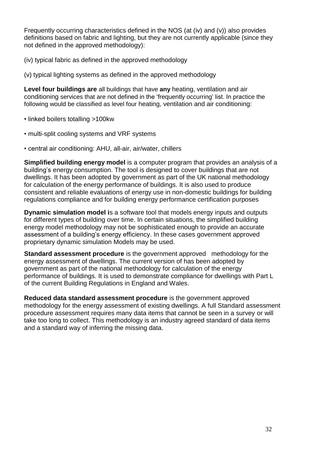Frequently occurring characteristics defined in the NOS (at (iv) and (v)) also provides definitions based on fabric and lighting, but they are not currently applicable (since they not defined in the approved methodology):

(iv) typical fabric as defined in the approved methodology

(v) typical lighting systems as defined in the approved methodology

**Level four buildings are** all buildings that have **any** heating, ventilation and air conditioning services that are not defined in the 'frequently occurring' list. In practice the following would be classified as level four heating, ventilation and air conditioning:

• linked boilers totalling >100kw

- multi-split cooling systems and VRF systems
- central air conditioning: AHU, all-air, air/water, chillers

**Simplified building energy model** is a computer program that provides an analysis of a building's energy consumption. The tool is designed to cover buildings that are not dwellings. It has been adopted by government as part of the UK national methodology for calculation of the energy performance of buildings. It is also used to produce consistent and reliable evaluations of energy use in non-domestic buildings for building regulations compliance and for building energy performance certification purposes

**Dynamic simulation model i**s a software tool that models energy inputs and outputs for different types of building over time. In certain situations, the simplified building energy model methodology may not be sophisticated enough to provide an accurate assessment of a building's energy efficiency. In these cases government approved proprietary dynamic simulation Models may be used.

**Standard assessment procedure** is the government approved methodology for the energy assessment of dwellings. The current version of has been adopted by government as part of the national methodology for calculation of the energy performance of buildings. It is used to demonstrate compliance for dwellings with Part L of the current Building Regulations in England and Wales.

**Reduced data standard assessment procedure** is the government approved methodology for the energy assessment of existing dwellings. A full Standard assessment procedure assessment requires many data items that cannot be seen in a survey or will take too long to collect. This methodology is an industry agreed standard of data items and a standard way of inferring the missing data.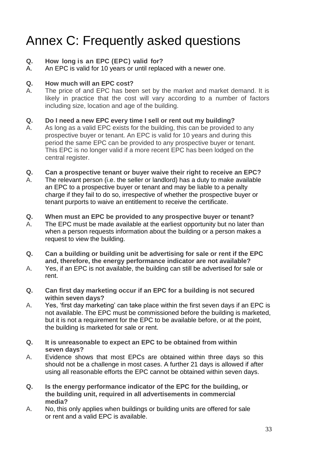# <span id="page-34-0"></span>Annex C: Frequently asked questions

#### **Q. How long is an EPC (EPC) valid for?**

A. An EPC is valid for 10 years or until replaced with a newer one.

#### **Q. How much will an EPC cost?**

A. The price of and EPC has been set by the market and market demand. It is likely in practice that the cost will vary according to a number of factors including size, location and age of the building.

#### **Q. Do I need a new EPC every time I sell or rent out my building?**

A. As long as a valid EPC exists for the building, this can be provided to any prospective buyer or tenant. An EPC is valid for 10 years and during this period the same EPC can be provided to any prospective buyer or tenant. This EPC is no longer valid if a more recent EPC has been lodged on the central register.

#### **Q. Can a prospective tenant or buyer waive their right to receive an EPC?**

A. The relevant person (i.e. the seller or landlord) has a duty to make available an EPC to a prospective buyer or tenant and may be liable to a penalty charge if they fail to do so, irrespective of whether the prospective buyer or tenant purports to waive an entitlement to receive the certificate.

#### **Q. When must an EPC be provided to any prospective buyer or tenant?**

- A. The EPC must be made available at the earliest opportunity but no later than when a person requests information about the building or a person makes a request to view the building.
- **Q. Can a building or building unit be advertising for sale or rent if the EPC and, therefore, the energy performance indicator are not available?**
- A. Yes, if an EPC is not available, the building can still be advertised for sale or rent.
- **Q. Can first day marketing occur if an EPC for a building is not secured within seven days?**
- A. Yes, 'first day marketing' can take place within the first seven days if an EPC is not available. The EPC must be commissioned before the building is marketed, but it is not a requirement for the EPC to be available before, or at the point, the building is marketed for sale or rent.
- **Q. It is unreasonable to expect an EPC to be obtained from within seven days?**
- A. Evidence shows that most EPCs are obtained within three days so this should not be a challenge in most cases. A further 21 days is allowed if after using all reasonable efforts the EPC cannot be obtained within seven days.
- **Q. Is the energy performance indicator of the EPC for the building, or the building unit, required in all advertisements in commercial media?**
- A. No, this only applies when buildings or building units are offered for sale or rent and a valid EPC is available.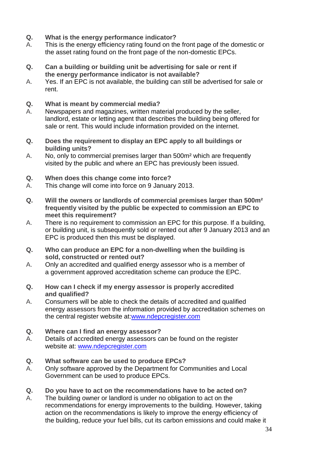- **Q. What is the energy performance indicator?**
- A. This is the energy efficiency rating found on the front page of the domestic or the asset rating found on the front page of the non-domestic EPCs.
- **Q. Can a building or building unit be advertising for sale or rent if the energy performance indicator is not available?**
- A. Yes. If an EPC is not available, the building can still be advertised for sale or rent.
- **Q. What is meant by commercial media?**
- A. Newspapers and magazines, written material produced by the seller, landlord, estate or letting agent that describes the building being offered for sale or rent. This would include information provided on the internet.
- **Q. Does the requirement to display an EPC apply to all buildings or building units?**
- A. No, only to commercial premises larger than 500m<sup>2</sup> which are frequently visited by the public and where an EPC has previously been issued.
- **Q. When does this change come into force?**
- A. This change will come into force on 9 January 2013.
- **Q. Will the owners or landlords of commercial premises larger than 500m² frequently visited by the public be expected to commission an EPC to meet this requirement?**
- A. There is no requirement to commission an EPC for this purpose. If a building, or building unit, is subsequently sold or rented out after 9 January 2013 and an EPC is produced then this must be displayed.
- **Q. Who can produce an EPC for a non-dwelling when the building is sold, constructed or rented out?**
- A. Only an accredited and qualified energy assessor who is a member of a government approved accreditation scheme can produce the EPC.
- **Q. How can I check if my energy assessor is properly accredited and qualified?**
- A. Consumers will be able to check the details of accredited and qualified energy assessors from the information provided by accreditation schemes on the central register website at[:www.ndepcregister.com](http://www.ndepcregister.com/)
- **Q. Where can I find an energy assessor?**
- A. Details of accredited energy assessors can be found on the register website at: [www.ndepcregister.com](http://www.ndepcregister.com/)
- **Q. What software can be used to produce EPCs?**
- A. Only software approved by the Department for Communities and Local Government can be used to produce EPCs.
- **Q. Do you have to act on the recommendations have to be acted on?**
- A. The building owner or landlord is under no obligation to act on the recommendations for energy improvements to the building. However, taking action on the recommendations is likely to improve the energy efficiency of the building, reduce your fuel bills, cut its carbon emissions and could make it